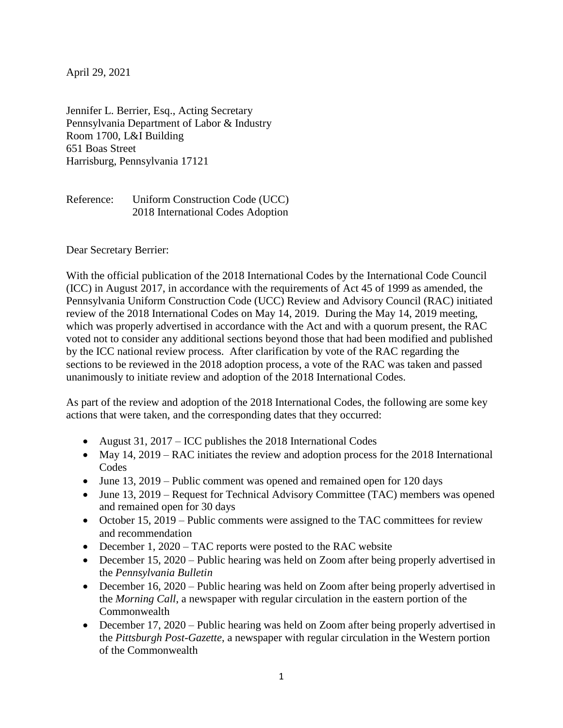April 29, 2021

Jennifer L. Berrier, Esq., Acting Secretary Pennsylvania Department of Labor & Industry Room 1700, L&I Building 651 Boas Street Harrisburg, Pennsylvania 17121

Reference: Uniform Construction Code (UCC) 2018 International Codes Adoption

Dear Secretary Berrier:

With the official publication of the 2018 International Codes by the International Code Council (ICC) in August 2017, in accordance with the requirements of Act 45 of 1999 as amended, the Pennsylvania Uniform Construction Code (UCC) Review and Advisory Council (RAC) initiated review of the 2018 International Codes on May 14, 2019. During the May 14, 2019 meeting, which was properly advertised in accordance with the Act and with a quorum present, the RAC voted not to consider any additional sections beyond those that had been modified and published by the ICC national review process. After clarification by vote of the RAC regarding the sections to be reviewed in the 2018 adoption process, a vote of the RAC was taken and passed unanimously to initiate review and adoption of the 2018 International Codes.

As part of the review and adoption of the 2018 International Codes, the following are some key actions that were taken, and the corresponding dates that they occurred:

- August 31,  $2017 ICC$  publishes the 2018 International Codes
- May 14, 2019 RAC initiates the review and adoption process for the 2018 International **Codes**
- June 13, 2019 Public comment was opened and remained open for 120 days
- June 13, 2019 Request for Technical Advisory Committee (TAC) members was opened and remained open for 30 days
- October 15, 2019 Public comments were assigned to the TAC committees for review and recommendation
- December 1, 2020 TAC reports were posted to the RAC website
- December 15, 2020 Public hearing was held on Zoom after being properly advertised in the *Pennsylvania Bulletin*
- December 16, 2020 Public hearing was held on Zoom after being properly advertised in the *Morning Call*, a newspaper with regular circulation in the eastern portion of the **Commonwealth**
- December 17, 2020 Public hearing was held on Zoom after being properly advertised in the *Pittsburgh Post-Gazette*, a newspaper with regular circulation in the Western portion of the Commonwealth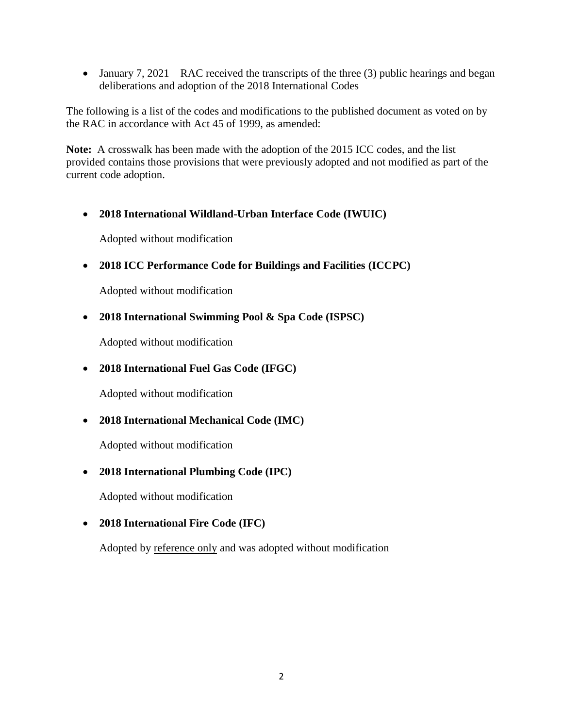• January 7, 2021 – RAC received the transcripts of the three (3) public hearings and began deliberations and adoption of the 2018 International Codes

The following is a list of the codes and modifications to the published document as voted on by the RAC in accordance with Act 45 of 1999, as amended:

**Note:** A crosswalk has been made with the adoption of the 2015 ICC codes, and the list provided contains those provisions that were previously adopted and not modified as part of the current code adoption.

**2018 International Wildland-Urban Interface Code (IWUIC)**

Adopted without modification

**2018 ICC Performance Code for Buildings and Facilities (ICCPC)**

Adopted without modification

**2018 International Swimming Pool & Spa Code (ISPSC)**

Adopted without modification

**2018 International Fuel Gas Code (IFGC)**

Adopted without modification

**2018 International Mechanical Code (IMC)**

Adopted without modification

**2018 International Plumbing Code (IPC)**

Adopted without modification

**2018 International Fire Code (IFC)**

Adopted by reference only and was adopted without modification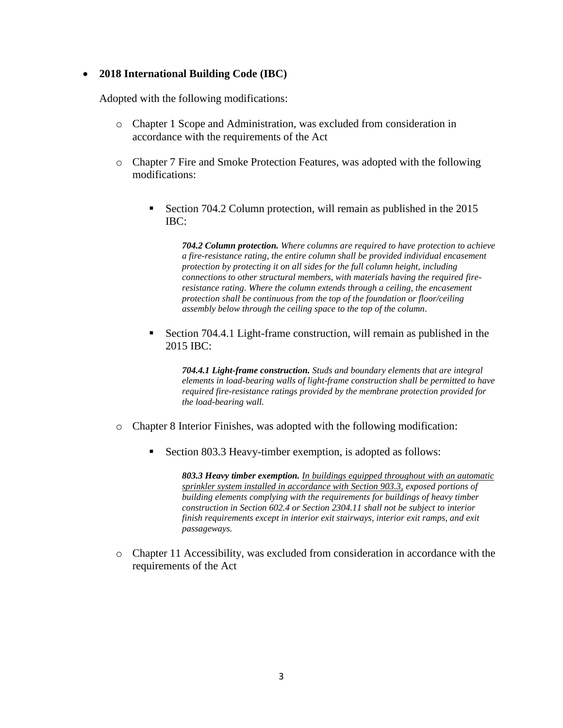# **2018 International Building Code (IBC)**

Adopted with the following modifications:

- o Chapter 1 Scope and Administration, was excluded from consideration in accordance with the requirements of the Act
- o Chapter 7 Fire and Smoke Protection Features, was adopted with the following modifications:
	- Section 704.2 Column protection, will remain as published in the 2015 IBC:

*704.2 Column protection. Where columns are required to have protection to achieve a fire-resistance rating, the entire column shall be provided individual encasement protection by protecting it on all sides for the full column height, including connections to other structural members, with materials having the required fireresistance rating. Where the column extends through a ceiling, the encasement protection shall be continuous from the top of the foundation or floor/ceiling assembly below through the ceiling space to the top of the column.*

 Section 704.4.1 Light-frame construction, will remain as published in the 2015 IBC:

*704.4.1 Light-frame construction. Studs and boundary elements that are integral elements in load-bearing walls of light-frame construction shall be permitted to have required fire-resistance ratings provided by the membrane protection provided for the load-bearing wall.*

- o Chapter 8 Interior Finishes, was adopted with the following modification:
	- Section 803.3 Heavy-timber exemption, is adopted as follows:

*803.3 Heavy timber exemption. In buildings equipped throughout with an automatic sprinkler system installed in accordance with Section 903.3, exposed portions of building elements complying with the requirements for buildings of heavy timber construction in Section 602.4 or Section 2304.11 shall not be subject to interior finish requirements except in interior exit stairways, interior exit ramps, and exit passageways.*

o Chapter 11 Accessibility, was excluded from consideration in accordance with the requirements of the Act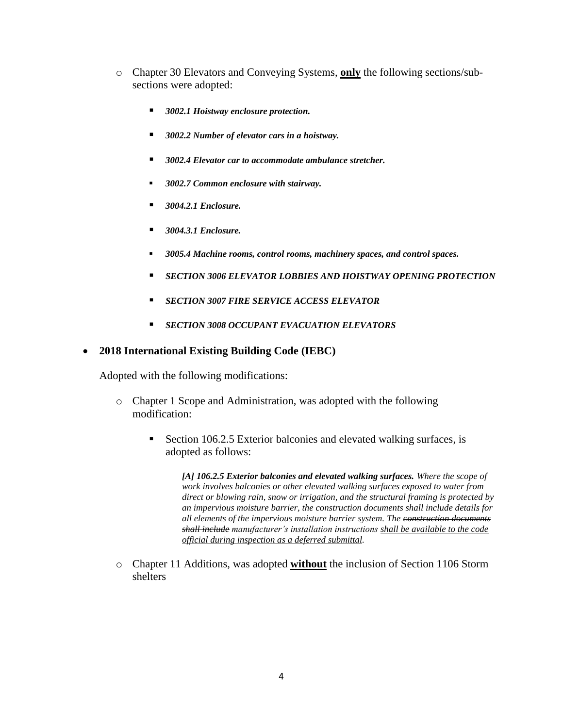- o Chapter 30 Elevators and Conveying Systems, **only** the following sections/subsections were adopted:
	- *3002.1 Hoistway enclosure protection.*
	- *3002.2 Number of elevator cars in a hoistway.*
	- *3002.4 Elevator car to accommodate ambulance stretcher.*
	- *3002.7 Common enclosure with stairway.*
	- *3004.2.1 Enclosure.*
	- *3004.3.1 Enclosure.*
	- *3005.4 Machine rooms, control rooms, machinery spaces, and control spaces.*
	- *SECTION 3006 ELEVATOR LOBBIES AND HOISTWAY OPENING PROTECTION*
	- *SECTION 3007 FIRE SERVICE ACCESS ELEVATOR*
	- *SECTION 3008 OCCUPANT EVACUATION ELEVATORS*

# **2018 International Existing Building Code (IEBC)**

Adopted with the following modifications:

- o Chapter 1 Scope and Administration, was adopted with the following modification:
	- Section 106.2.5 Exterior balconies and elevated walking surfaces, is adopted as follows:

*[A] 106.2.5 Exterior balconies and elevated walking surfaces. Where the scope of work involves balconies or other elevated walking surfaces exposed to water from direct or blowing rain, snow or irrigation, and the structural framing is protected by an impervious moisture barrier, the construction documents shall include details for all elements of the impervious moisture barrier system. The construction documents shall include manufacturer's installation instructions shall be available to the code official during inspection as a deferred submittal.*

o Chapter 11 Additions, was adopted **without** the inclusion of Section 1106 Storm shelters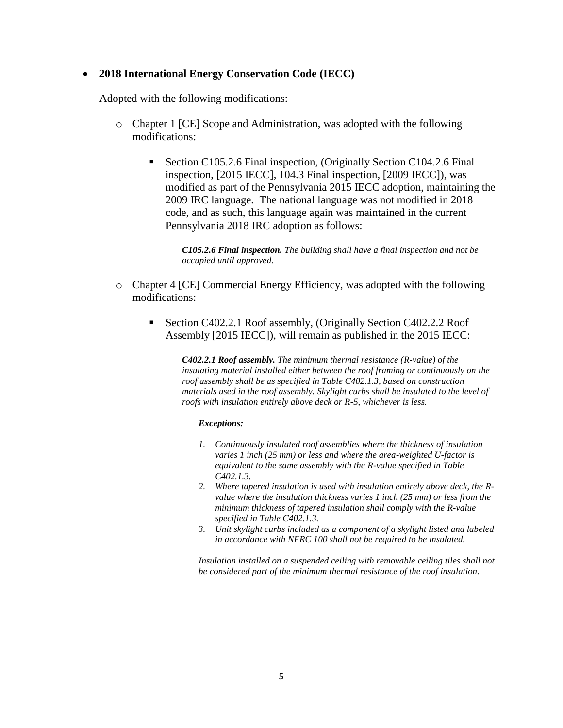### **2018 International Energy Conservation Code (IECC)**

Adopted with the following modifications:

- o Chapter 1 [CE] Scope and Administration, was adopted with the following modifications:
	- Section C105.2.6 Final inspection, (Originally Section C104.2.6 Final inspection, [2015 IECC], 104.3 Final inspection, [2009 IECC]), was modified as part of the Pennsylvania 2015 IECC adoption, maintaining the 2009 IRC language. The national language was not modified in 2018 code, and as such, this language again was maintained in the current Pennsylvania 2018 IRC adoption as follows:

*C105.2.6 Final inspection. The building shall have a final inspection and not be occupied until approved.*

- o Chapter 4 [CE] Commercial Energy Efficiency, was adopted with the following modifications:
	- Section C402.2.1 Roof assembly, (Originally Section C402.2.2 Roof Assembly [2015 IECC]), will remain as published in the 2015 IECC:

*C402.2.1 Roof assembly. The minimum thermal resistance (R-value) of the insulating material installed either between the roof framing or continuously on the roof assembly shall be as specified in Table C402.1.3, based on construction materials used in the roof assembly. Skylight curbs shall be insulated to the level of roofs with insulation entirely above deck or R-5, whichever is less.*

### *Exceptions:*

- *1. Continuously insulated roof assemblies where the thickness of insulation varies 1 inch (25 mm) or less and where the area-weighted U-factor is equivalent to the same assembly with the R-value specified in Table C402.1.3.*
- *2. Where tapered insulation is used with insulation entirely above deck, the Rvalue where the insulation thickness varies 1 inch (25 mm) or less from the minimum thickness of tapered insulation shall comply with the R-value specified in Table C402.1.3.*
- *3. Unit skylight curbs included as a component of a skylight listed and labeled in accordance with NFRC 100 shall not be required to be insulated.*

*Insulation installed on a suspended ceiling with removable ceiling tiles shall not be considered part of the minimum thermal resistance of the roof insulation.*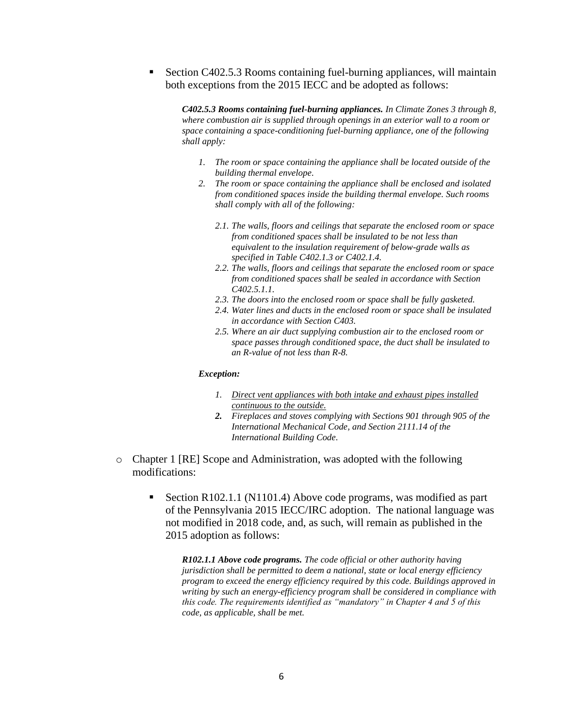Section C402.5.3 Rooms containing fuel-burning appliances, will maintain both exceptions from the 2015 IECC and be adopted as follows:

*C402.5.3 Rooms containing fuel-burning appliances. In Climate Zones 3 through 8, where combustion air is supplied through openings in an exterior wall to a room or space containing a space-conditioning fuel-burning appliance, one of the following shall apply:*

- *1. The room or space containing the appliance shall be located outside of the building thermal envelope.*
- *2. The room or space containing the appliance shall be enclosed and isolated from conditioned spaces inside the building thermal envelope. Such rooms shall comply with all of the following:*
	- *2.1. The walls, floors and ceilings that separate the enclosed room or space from conditioned spaces shall be insulated to be not less than equivalent to the insulation requirement of below-grade walls as specified in Table C402.1.3 or C402.1.4.*
	- *2.2. The walls, floors and ceilings that separate the enclosed room or space from conditioned spaces shall be sealed in accordance with Section C402.5.1.1.*
	- *2.3. The doors into the enclosed room or space shall be fully gasketed.*
	- *2.4. Water lines and ducts in the enclosed room or space shall be insulated in accordance with Section C403.*
	- *2.5. Where an air duct supplying combustion air to the enclosed room or space passes through conditioned space, the duct shall be insulated to an R-value of not less than R-8.*

### *Exception:*

- *1. Direct vent appliances with both intake and exhaust pipes installed continuous to the outside.*
- *2. Fireplaces and stoves complying with Sections 901 through 905 of the International Mechanical Code, and Section 2111.14 of the International Building Code.*
- o Chapter 1 [RE] Scope and Administration, was adopted with the following modifications:
	- Section R102.1.1 (N1101.4) Above code programs, was modified as part of the Pennsylvania 2015 IECC/IRC adoption. The national language was not modified in 2018 code, and, as such, will remain as published in the 2015 adoption as follows:

*R102.1.1 Above code programs. The code official or other authority having jurisdiction shall be permitted to deem a national, state or local energy efficiency program to exceed the energy efficiency required by this code. Buildings approved in writing by such an energy-efficiency program shall be considered in compliance with this code. The requirements identified as "mandatory" in Chapter 4 and 5 of this code, as applicable, shall be met.*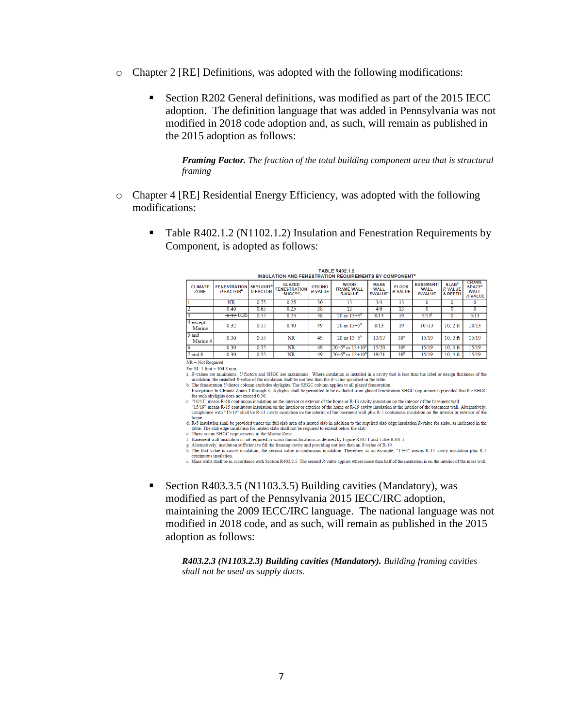- $\circ$  Chapter 2 [RE] Definitions, was adopted with the following modifications:
	- Section R202 General definitions, was modified as part of the 2015 IECC adoption. The definition language that was added in Pennsylvania was not modified in 2018 code adoption and, as such, will remain as published in the 2015 adoption as follows:

*Framing Factor. The fraction of the total building component area that is structural framing*

- o Chapter 4 [RE] Residential Energy Efficiency, was adopted with the following modifications:
	- Table R402.1.2 (N1102.1.2) Insulation and Fenestration Requirements by Component, is adopted as follows:

| INSULATION AND FENESTRATION REQUIREMENTS BY COMPONENT. |                                        |                                                 |                                                              |                                  |                                                    |                                       |                                |                                                              |                                                                 |                                                                           |
|--------------------------------------------------------|----------------------------------------|-------------------------------------------------|--------------------------------------------------------------|----------------------------------|----------------------------------------------------|---------------------------------------|--------------------------------|--------------------------------------------------------------|-----------------------------------------------------------------|---------------------------------------------------------------------------|
| <b>CLIMATE</b><br>ZONE                                 | <b>FENESTRATION</b><br><b>U-FACTOR</b> | <b>SKYLIGHT</b> <sup>b</sup><br><b>U-FACTOR</b> | <b>GLAZED</b><br><b>FENESTRATION</b><br>SHGC <sup>b, o</sup> | <b>CEILING</b><br><b>R-VALUE</b> | <b>WOOD</b><br><b>FRAME WALL</b><br><b>R-VALUE</b> | <b>MASS</b><br>WALL<br><b>R-VALUE</b> | <b>FLOOR</b><br><b>R-VALUE</b> | <b>BASEMENT<sup>°</sup></b><br><b>WALL</b><br><b>R-VALUE</b> | <b>SLAB<sup>d</sup></b><br><b>R-VALUE</b><br><b>&amp; DEPTH</b> | <b>CRAWL</b><br><b>SPACE<sup>°</sup></b><br><b>WALL</b><br><b>R-VALUE</b> |
|                                                        | NR                                     | 0.75                                            | 0.25                                                         | 30                               | 13                                                 | 3/4                                   | 13                             | $\bf{0}$                                                     | $\bf{0}$                                                        | 0                                                                         |
|                                                        | 0.40                                   | 0.65                                            | 0.25                                                         | 38                               | 13                                                 | 4/6                                   | 13                             | $\mathbf{0}$                                                 | 0                                                               |                                                                           |
|                                                        | $-0.32 - 0.35$                         | 0.55                                            | 0.25                                                         | 38                               | $20 \text{ or } 13 + 5^{\text{a}}$                 | 8/13                                  | 19                             | $5/13$ <sup>r</sup>                                          | 0                                                               | 5/13                                                                      |
| $4$ except<br>Marine                                   | 0.32                                   | 0.55                                            | 0.40                                                         | 49                               | 20 or $13+5^h$                                     | 8/13                                  | 19                             | 10/13                                                        | $10.2$ ft                                                       | 10/13                                                                     |
| $5$ and<br>Marine 4                                    | 0.30                                   | 0.55                                            | <b>NR</b>                                                    | 49                               | 20 or $13+5^h$                                     | 13/17                                 | 30 <sup>g</sup>                | 15/19                                                        | $10, 2$ ft                                                      | 15/19                                                                     |
|                                                        | 0.30                                   | 0.55                                            | $\overline{\text{NR}}$                                       | 49                               | $20+5^{\circ}$ or $13+10^{\circ}$                  | 15/20                                 | 30 <sup>g</sup>                | 15/19                                                        | $10.4 \text{ ft}$                                               | 15/19                                                                     |
| $7$ and $8$                                            | 0.30                                   | 0.55                                            | NR                                                           | 49                               | $20+5^{\circ}$ or $13+10^{\circ}$                  | 19/21                                 | 38 <sup>g</sup>                | 15/19                                                        | $10.4 \text{ ft}$                                               | 15/19                                                                     |

TABLE R402.1.2

 $NR = Not Required$ For SI: 1 foot =  $304.8$  mm.

A dr-Sulties are minimums. U-factors and SHGC are maximums. Where insulation is installed in a cavity that is less than the label or design thickness of the insulation, the installed  $R$ -value of the insulation shall be not less than the  $R$ -value specified in the table

Exception: U-factor column excludes skylights. The SHGC column applies to all glazed fenestration.<br>
D. The fenestration U-factor column excludes skylights and the SHGC column applies to all glazed fenestration.<br> **Exception** 

c. "10/13" means R-10 continuous insulation on the interior or exterior of the home or R-13 cavity insulation on the interior of the basement wall

"15/19" means R-15 continuous insulation on the interior or exterior of the home or R-19 cavity insulation at the interior of the basement wall. Alternatively, compliance with "15/19" shall be R-13 cavity insulation on the d. R-5 insulation shall be provided under the full slab area of a heated slab in addition to the required slab edge insulation R-value for slabs, as indicated in the

table. The slab edge insulation for heated slabs shall not be required to extend below the slab

e. There are no SHGC requirements in the Marine Zone.<br>
E. There are no SHGC requirements in the Marine Zone.<br>
f. Basement wall insulation is not required in warm-humid locations as defined by Figure R301.1 and Table R301.1

g. Alternatively, insulation sufficient to fill the framing cavity and providing not less than an R-value of R-19.<br>In The first value is cavity insulation, the second value is continuous insulation. Therefore, as an exampl

1. The continuous insulation.<br>
Extends that is continuous insulation and the continuous insulation.<br>
i. Mass walls shall be in accordance with Section R402.2.5. The second R-value applies where more than half of the insula

■ Section R403.3.5 (N1103.3.5) Building cavities (Mandatory), was modified as part of the Pennsylvania 2015 IECC/IRC adoption, maintaining the 2009 IECC/IRC language. The national language was not modified in 2018 code, and as such, will remain as published in the 2015 adoption as follows:

*R403.2.3 (N1103.2.3) Building cavities (Mandatory). Building framing cavities shall not be used as supply ducts.*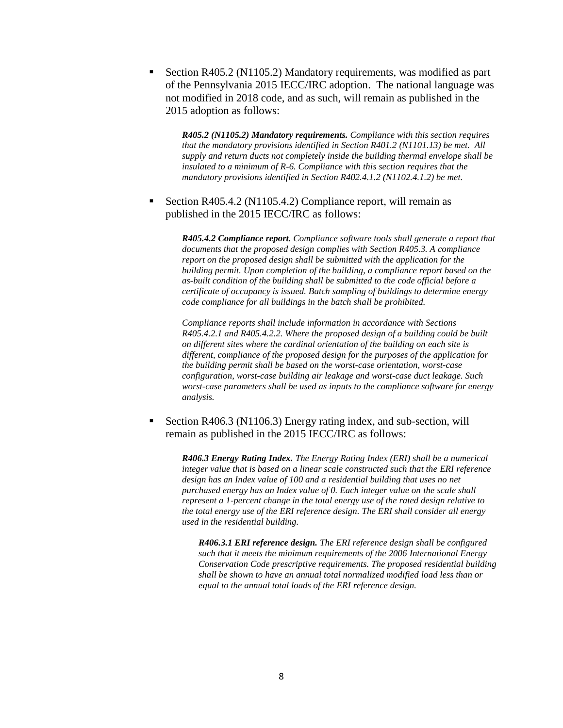Section R405.2 (N1105.2) Mandatory requirements, was modified as part of the Pennsylvania 2015 IECC/IRC adoption. The national language was not modified in 2018 code, and as such, will remain as published in the 2015 adoption as follows:

*R405.2 (N1105.2) Mandatory requirements. Compliance with this section requires that the mandatory provisions identified in Section R401.2 (N1101.13) be met. All supply and return ducts not completely inside the building thermal envelope shall be insulated to a minimum of R-6. Compliance with this section requires that the mandatory provisions identified in Section R402.4.1.2 (N1102.4.1.2) be met.*

 Section R405.4.2 (N1105.4.2) Compliance report, will remain as published in the 2015 IECC/IRC as follows:

> *R405.4.2 Compliance report. Compliance software tools shall generate a report that documents that the proposed design complies with Section R405.3. A compliance report on the proposed design shall be submitted with the application for the building permit. Upon completion of the building, a compliance report based on the as-built condition of the building shall be submitted to the code official before a certificate of occupancy is issued. Batch sampling of buildings to determine energy code compliance for all buildings in the batch shall be prohibited.*

> *Compliance reports shall include information in accordance with Sections R405.4.2.1 and R405.4.2.2. Where the proposed design of a building could be built on different sites where the cardinal orientation of the building on each site is different, compliance of the proposed design for the purposes of the application for the building permit shall be based on the worst-case orientation, worst-case configuration, worst-case building air leakage and worst-case duct leakage. Such worst-case parameters shall be used as inputs to the compliance software for energy analysis.*

 Section R406.3 (N1106.3) Energy rating index, and sub-section, will remain as published in the 2015 IECC/IRC as follows:

*R406.3 Energy Rating Index. The Energy Rating Index (ERI) shall be a numerical integer value that is based on a linear scale constructed such that the ERI reference design has an Index value of 100 and a residential building that uses no net purchased energy has an Index value of 0. Each integer value on the scale shall represent a 1-percent change in the total energy use of the rated design relative to the total energy use of the ERI reference design. The ERI shall consider all energy used in the residential building.*

*R406.3.1 ERI reference design. The ERI reference design shall be configured such that it meets the minimum requirements of the 2006 International Energy Conservation Code prescriptive requirements. The proposed residential building shall be shown to have an annual total normalized modified load less than or equal to the annual total loads of the ERI reference design.*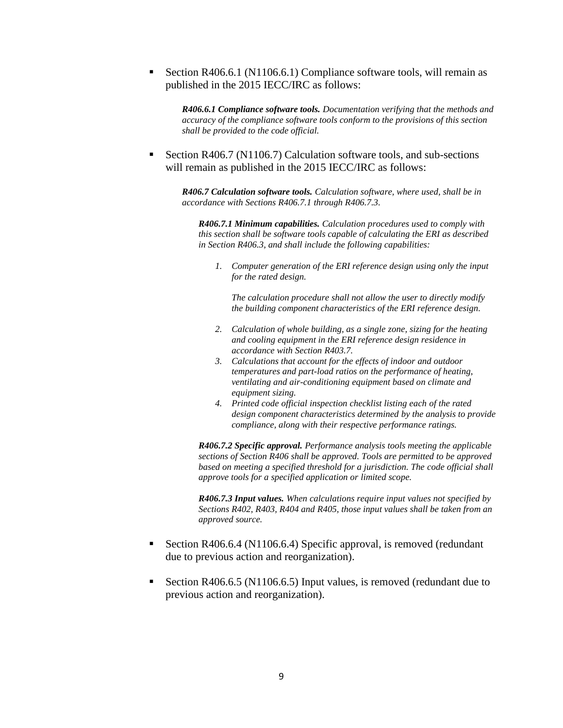Section R406.6.1 (N1106.6.1) Compliance software tools, will remain as published in the 2015 IECC/IRC as follows:

*R406.6.1 Compliance software tools. Documentation verifying that the methods and accuracy of the compliance software tools conform to the provisions of this section shall be provided to the code official.*

 Section R406.7 (N1106.7) Calculation software tools, and sub-sections will remain as published in the 2015 IECC/IRC as follows:

*R406.7 Calculation software tools. Calculation software, where used, shall be in accordance with Sections R406.7.1 through R406.7.3.*

*R406.7.1 Minimum capabilities. Calculation procedures used to comply with this section shall be software tools capable of calculating the ERI as described in Section R406.3, and shall include the following capabilities:*

*1. Computer generation of the ERI reference design using only the input for the rated design.*

*The calculation procedure shall not allow the user to directly modify the building component characteristics of the ERI reference design.*

- *2. Calculation of whole building, as a single zone, sizing for the heating and cooling equipment in the ERI reference design residence in accordance with Section R403.7.*
- *3. Calculations that account for the effects of indoor and outdoor temperatures and part-load ratios on the performance of heating, ventilating and air-conditioning equipment based on climate and equipment sizing.*
- *4. Printed code official inspection checklist listing each of the rated design component characteristics determined by the analysis to provide compliance, along with their respective performance ratings.*

*R406.7.2 Specific approval. Performance analysis tools meeting the applicable sections of Section R406 shall be approved. Tools are permitted to be approved based on meeting a specified threshold for a jurisdiction. The code official shall approve tools for a specified application or limited scope.*

*R406.7.3 Input values. When calculations require input values not specified by Sections R402, R403, R404 and R405, those input values shall be taken from an approved source.*

- Section R406.6.4 (N1106.6.4) Specific approval, is removed (redundant due to previous action and reorganization).
- Section R406.6.5 (N1106.6.5) Input values, is removed (redundant due to previous action and reorganization).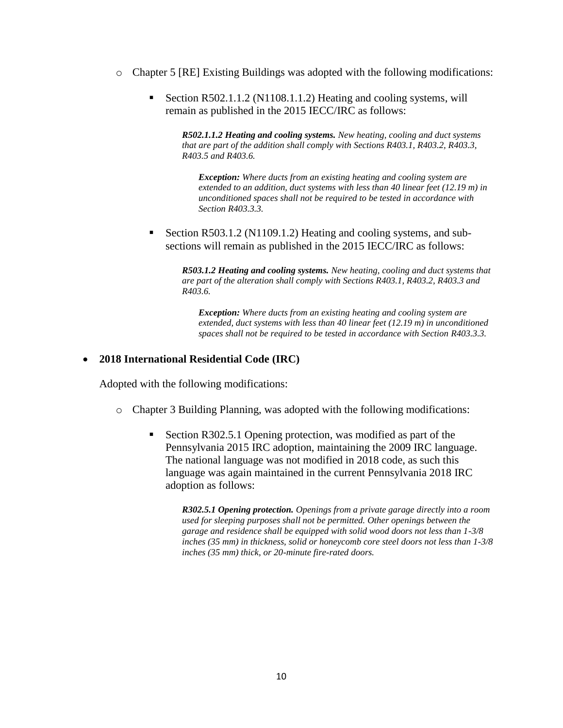- $\circ$  Chapter 5 [RE] Existing Buildings was adopted with the following modifications:
	- Section R502.1.1.2 (N1108.1.1.2) Heating and cooling systems, will remain as published in the 2015 IECC/IRC as follows:

*R502.1.1.2 Heating and cooling systems. New heating, cooling and duct systems that are part of the addition shall comply with Sections R403.1, R403.2, R403.3, R403.5 and R403.6.*

*Exception: Where ducts from an existing heating and cooling system are extended to an addition, duct systems with less than 40 linear feet (12.19 m) in unconditioned spaces shall not be required to be tested in accordance with Section R403.3.3.*

 Section R503.1.2 (N1109.1.2) Heating and cooling systems, and subsections will remain as published in the 2015 IECC/IRC as follows:

> *R503.1.2 Heating and cooling systems. New heating, cooling and duct systems that are part of the alteration shall comply with Sections R403.1, R403.2, R403.3 and R403.6.*

*Exception: Where ducts from an existing heating and cooling system are extended, duct systems with less than 40 linear feet (12.19 m) in unconditioned spaces shall not be required to be tested in accordance with Section R403.3.3.*

# **2018 International Residential Code (IRC)**

Adopted with the following modifications:

- o Chapter 3 Building Planning, was adopted with the following modifications:
	- Section R302.5.1 Opening protection, was modified as part of the Pennsylvania 2015 IRC adoption, maintaining the 2009 IRC language. The national language was not modified in 2018 code, as such this language was again maintained in the current Pennsylvania 2018 IRC adoption as follows:

*R302.5.1 Opening protection. Openings from a private garage directly into a room used for sleeping purposes shall not be permitted. Other openings between the garage and residence shall be equipped with solid wood doors not less than 1-3/8 inches (35 mm) in thickness, solid or honeycomb core steel doors not less than 1-3/8 inches (35 mm) thick, or 20-minute fire-rated doors.*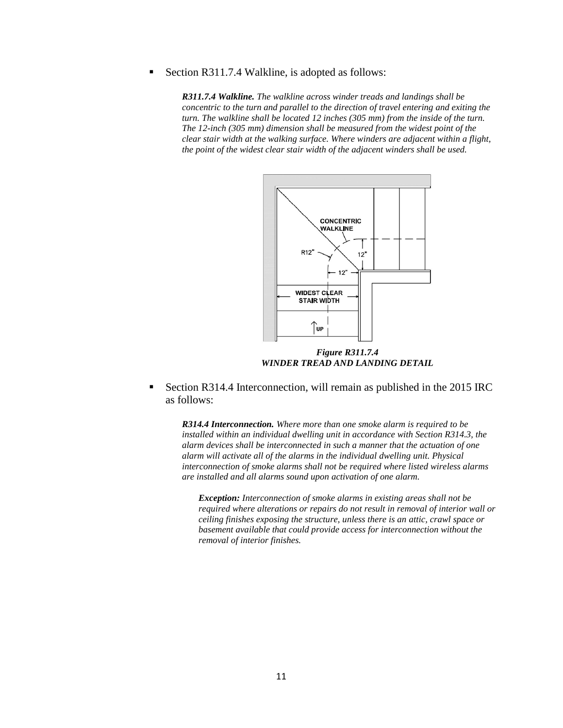Section R311.7.4 Walkline, is adopted as follows:

*R311.7.4 Walkline. The walkline across winder treads and landings shall be concentric to the turn and parallel to the direction of travel entering and exiting the turn. The walkline shall be located 12 inches (305 mm) from the inside of the turn. The 12-inch (305 mm) dimension shall be measured from the widest point of the clear stair width at the walking surface. Where winders are adjacent within a flight, the point of the widest clear stair width of the adjacent winders shall be used.*



*Figure R311.7.4 WINDER TREAD AND LANDING DETAIL*

 Section R314.4 Interconnection, will remain as published in the 2015 IRC as follows:

*R314.4 Interconnection. Where more than one smoke alarm is required to be installed within an individual dwelling unit in accordance with Section R314.3, the alarm devices shall be interconnected in such a manner that the actuation of one alarm will activate all of the alarms in the individual dwelling unit. Physical interconnection of smoke alarms shall not be required where listed wireless alarms are installed and all alarms sound upon activation of one alarm.*

*Exception: Interconnection of smoke alarms in existing areas shall not be required where alterations or repairs do not result in removal of interior wall or ceiling finishes exposing the structure, unless there is an attic, crawl space or basement available that could provide access for interconnection without the removal of interior finishes.*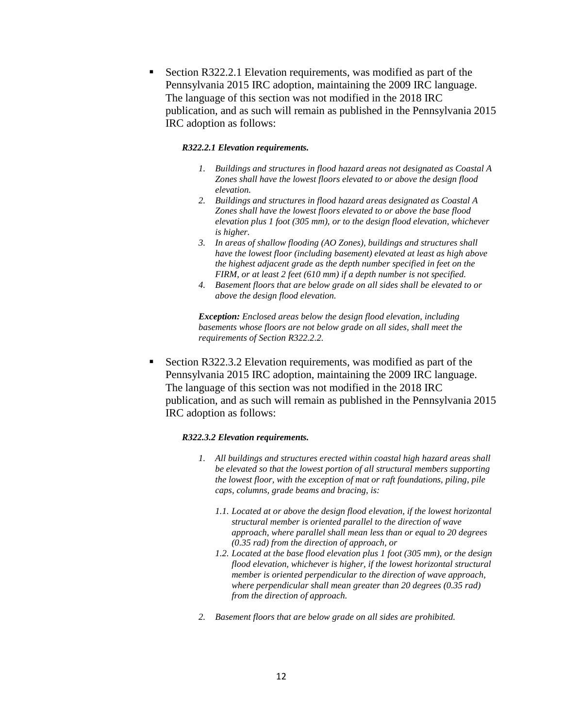Section R322.2.1 Elevation requirements, was modified as part of the Pennsylvania 2015 IRC adoption, maintaining the 2009 IRC language. The language of this section was not modified in the 2018 IRC publication, and as such will remain as published in the Pennsylvania 2015 IRC adoption as follows:

### *R322.2.1 Elevation requirements.*

- *1. Buildings and structures in flood hazard areas not designated as Coastal A Zones shall have the lowest floors elevated to or above the design flood elevation.*
- *2. Buildings and structures in flood hazard areas designated as Coastal A Zones shall have the lowest floors elevated to or above the base flood elevation plus 1 foot (305 mm), or to the design flood elevation, whichever is higher.*
- *3. In areas of shallow flooding (AO Zones), buildings and structures shall have the lowest floor (including basement) elevated at least as high above the highest adjacent grade as the depth number specified in feet on the FIRM, or at least 2 feet (610 mm) if a depth number is not specified.*
- *4. Basement floors that are below grade on all sides shall be elevated to or above the design flood elevation.*

*Exception: Enclosed areas below the design flood elevation, including basements whose floors are not below grade on all sides, shall meet the requirements of Section R322.2.2.*

 Section R322.3.2 Elevation requirements, was modified as part of the Pennsylvania 2015 IRC adoption, maintaining the 2009 IRC language. The language of this section was not modified in the 2018 IRC publication, and as such will remain as published in the Pennsylvania 2015 IRC adoption as follows:

#### *R322.3.2 Elevation requirements.*

- *1. All buildings and structures erected within coastal high hazard areas shall be elevated so that the lowest portion of all structural members supporting the lowest floor, with the exception of mat or raft foundations, piling, pile caps, columns, grade beams and bracing, is:*
	- *1.1. Located at or above the design flood elevation, if the lowest horizontal structural member is oriented parallel to the direction of wave approach, where parallel shall mean less than or equal to 20 degrees (0.35 rad) from the direction of approach, or*
	- *1.2. Located at the base flood elevation plus 1 foot (305 mm), or the design flood elevation, whichever is higher, if the lowest horizontal structural member is oriented perpendicular to the direction of wave approach, where perpendicular shall mean greater than 20 degrees (0.35 rad) from the direction of approach.*
- *2. Basement floors that are below grade on all sides are prohibited.*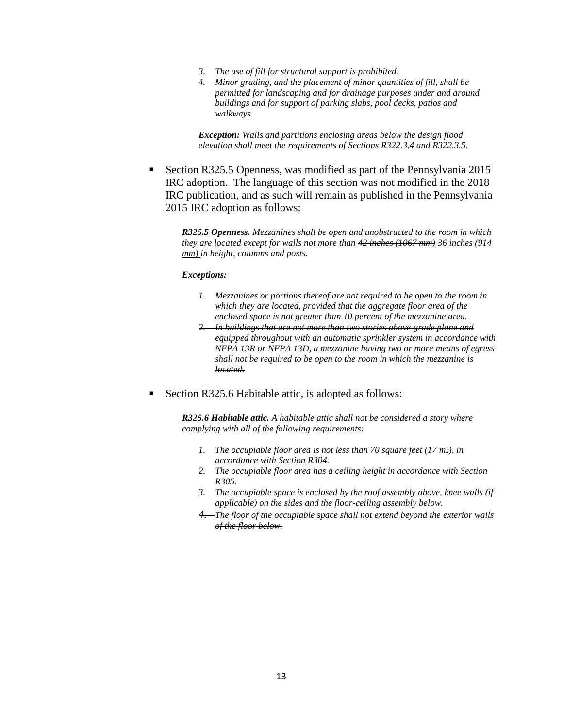- *3. The use of fill for structural support is prohibited.*
- *4. Minor grading, and the placement of minor quantities of fill, shall be permitted for landscaping and for drainage purposes under and around buildings and for support of parking slabs, pool decks, patios and walkways.*

*Exception: Walls and partitions enclosing areas below the design flood elevation shall meet the requirements of Sections R322.3.4 and R322.3.5.*

 Section R325.5 Openness, was modified as part of the Pennsylvania 2015 IRC adoption. The language of this section was not modified in the 2018 IRC publication, and as such will remain as published in the Pennsylvania 2015 IRC adoption as follows:

*R325.5 Openness. Mezzanines shall be open and unobstructed to the room in which they are located except for walls not more than 42 inches (1067 mm) 36 inches (914 mm) in height, columns and posts.*

#### *Exceptions:*

- *1. Mezzanines or portions thereof are not required to be open to the room in which they are located, provided that the aggregate floor area of the enclosed space is not greater than 10 percent of the mezzanine area.*
- *2. In buildings that are not more than two stories above grade plane and equipped throughout with an automatic sprinkler system in accordance with NFPA 13R or NFPA 13D, a mezzanine having two or more means of egress shall not be required to be open to the room in which the mezzanine is located.*
- Section R325.6 Habitable attic, is adopted as follows:

*R325.6 Habitable attic. A habitable attic shall not be considered a story where complying with all of the following requirements:*

- *1. The occupiable floor area is not less than 70 square feet (17 m2), in accordance with Section R304.*
- *2. The occupiable floor area has a ceiling height in accordance with Section R305.*
- *3. The occupiable space is enclosed by the roof assembly above, knee walls (if applicable) on the sides and the floor-ceiling assembly below.*
- *4. The floor of the occupiable space shall not extend beyond the exterior walls of the floor below.*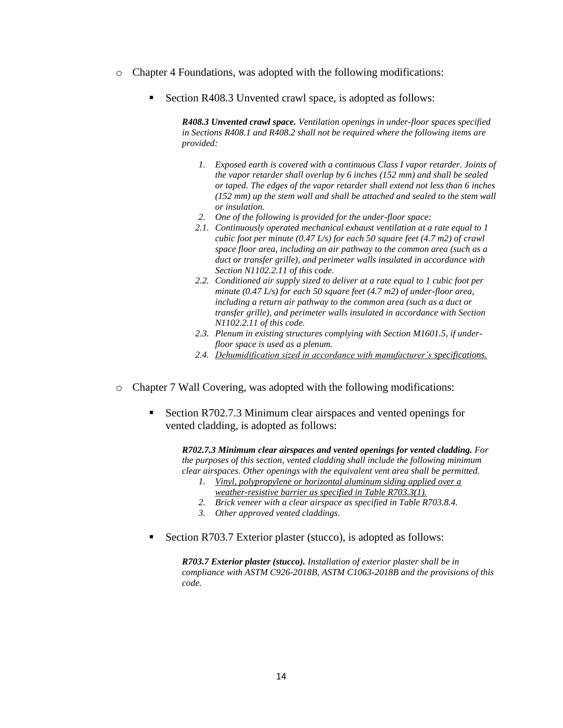- $\circ$  Chapter 4 Foundations, was adopted with the following modifications:
	- Section R408.3 Unvented crawl space, is adopted as follows:

*R408.3 Unvented crawl space. Ventilation openings in under-floor spaces specified in Sections R408.1 and R408.2 shall not be required where the following items are provided:*

- *1. Exposed earth is covered with a continuous Class I vapor retarder. Joints of the vapor retarder shall overlap by 6 inches (152 mm) and shall be sealed or taped. The edges of the vapor retarder shall extend not less than 6 inches (152 mm) up the stem wall and shall be attached and sealed to the stem wall or insulation.*
- *2. One of the following is provided for the under-floor space:*
- *2.1. Continuously operated mechanical exhaust ventilation at a rate equal to 1 cubic foot per minute (0.47 L/s) for each 50 square feet (4.7 m2) of crawl space floor area, including an air pathway to the common area (such as a duct or transfer grille), and perimeter walls insulated in accordance with Section N1102.2.11 of this code.*
- *2.2. Conditioned air supply sized to deliver at a rate equal to 1 cubic foot per minute (0.47 L/s) for each 50 square feet (4.7 m2) of under-floor area, including a return air pathway to the common area (such as a duct or transfer grille), and perimeter walls insulated in accordance with Section N1102.2.11 of this code.*
- *2.3. Plenum in existing structures complying with Section M1601.5, if underfloor space is used as a plenum.*
- *2.4. Dehumidification sized in accordance with manufacturer's specifications.*
- o Chapter 7 Wall Covering, was adopted with the following modifications:
	- Section R702.7.3 Minimum clear airspaces and vented openings for vented cladding, is adopted as follows:

*R702.7.3 Minimum clear airspaces and vented openings for vented cladding. For the purposes of this section, vented cladding shall include the following minimum clear airspaces. Other openings with the equivalent vent area shall be permitted.*

- *1. Vinyl, polypropylene or horizontal aluminum siding applied over a weather-resistive barrier as specified in Table R703.3(1).*
- *2. Brick veneer with a clear airspace as specified in Table R703.8.4.*
- *3. Other approved vented claddings.*
- Section R703.7 Exterior plaster (stucco), is adopted as follows:

*R703.7 Exterior plaster (stucco). Installation of exterior plaster shall be in compliance with ASTM C926-2018B, ASTM C1063-2018B and the provisions of this code.*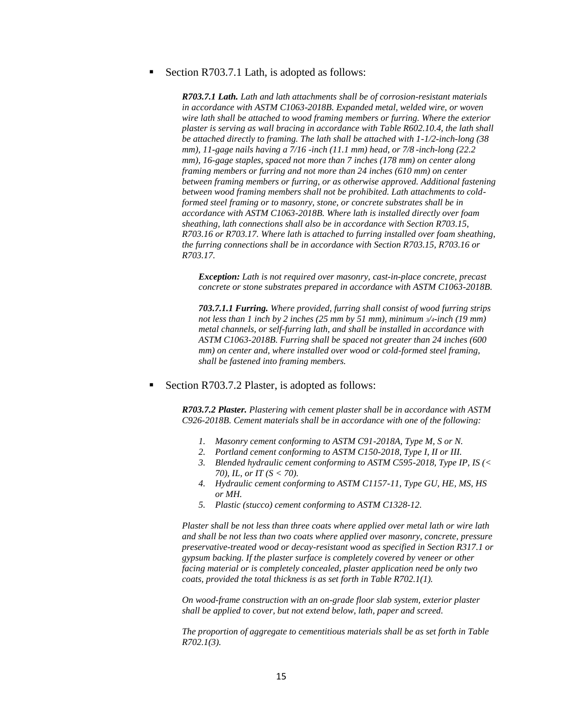Section R703.7.1 Lath, is adopted as follows:

*R703.7.1 Lath. Lath and lath attachments shall be of corrosion-resistant materials in accordance with ASTM C1063-2018B. Expanded metal, welded wire, or woven wire lath shall be attached to wood framing members or furring. Where the exterior plaster is serving as wall bracing in accordance with Table R602.10.4, the lath shall be attached directly to framing. The lath shall be attached with 1-1/2-inch-long (38 mm), 11-gage nails having a 7/16 -inch (11.1 mm) head, or 7/8 -inch-long (22.2 mm), 16-gage staples, spaced not more than 7 inches (178 mm) on center along framing members or furring and not more than 24 inches (610 mm) on center between framing members or furring, or as otherwise approved. Additional fastening between wood framing members shall not be prohibited. Lath attachments to coldformed steel framing or to masonry, stone, or concrete substrates shall be in accordance with ASTM C1063-2018B. Where lath is installed directly over foam sheathing, lath connections shall also be in accordance with Section R703.15, R703.16 or R703.17. Where lath is attached to furring installed over foam sheathing, the furring connections shall be in accordance with Section R703.15, R703.16 or R703.17.*

*Exception: Lath is not required over masonry, cast-in-place concrete, precast concrete or stone substrates prepared in accordance with ASTM C1063-2018B.*

*703.7.1.1 Furring. Where provided, furring shall consist of wood furring strips not less than 1 inch by 2 inches (25 mm by 51 mm), minimum 3/4-inch (19 mm) metal channels, or self-furring lath, and shall be installed in accordance with ASTM C1063-2018B. Furring shall be spaced not greater than 24 inches (600 mm) on center and, where installed over wood or cold-formed steel framing, shall be fastened into framing members.*

Section R703.7.2 Plaster, is adopted as follows:

*R703.7.2 Plaster. Plastering with cement plaster shall be in accordance with ASTM C926-2018B. Cement materials shall be in accordance with one of the following:*

- *1. Masonry cement conforming to ASTM C91-2018A, Type M, S or N.*
- *2. Portland cement conforming to ASTM C150-2018, Type I, II or III.*
- *3. Blended hydraulic cement conforming to ASTM C595-2018, Type IP, IS (< 70), IL, or IT (S < 70).*
- *4. Hydraulic cement conforming to ASTM C1157-11, Type GU, HE, MS, HS or MH.*
- *5. Plastic (stucco) cement conforming to ASTM C1328-12.*

*Plaster shall be not less than three coats where applied over metal lath or wire lath and shall be not less than two coats where applied over masonry, concrete, pressure preservative-treated wood or decay-resistant wood as specified in Section R317.1 or gypsum backing. If the plaster surface is completely covered by veneer or other facing material or is completely concealed, plaster application need be only two coats, provided the total thickness is as set forth in Table R702.1(1).*

*On wood-frame construction with an on-grade floor slab system, exterior plaster shall be applied to cover, but not extend below, lath, paper and screed.*

*The proportion of aggregate to cementitious materials shall be as set forth in Table R702.1(3).*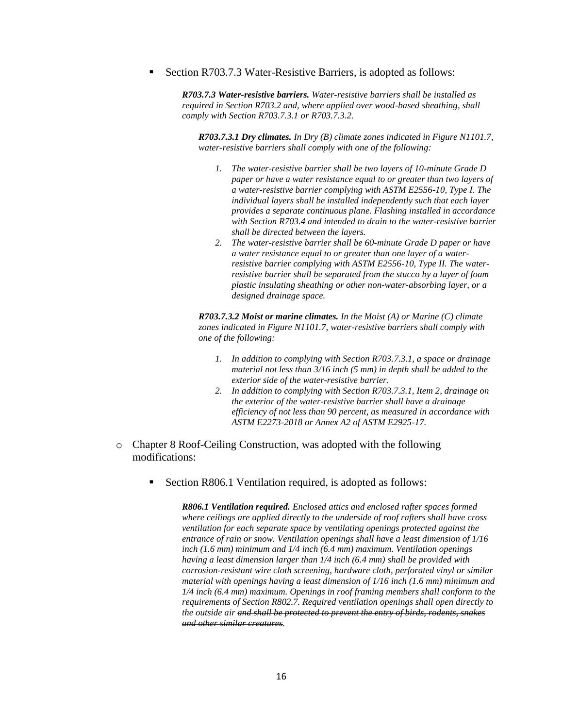Section R703.7.3 Water-Resistive Barriers, is adopted as follows:

*R703.7.3 Water-resistive barriers. Water-resistive barriers shall be installed as required in Section R703.2 and, where applied over wood-based sheathing, shall comply with Section R703.7.3.1 or R703.7.3.2.*

*R703.7.3.1 Dry climates. In Dry (B) climate zones indicated in Figure N1101.7, water-resistive barriers shall comply with one of the following:*

- *1. The water-resistive barrier shall be two layers of 10-minute Grade D paper or have a water resistance equal to or greater than two layers of a water-resistive barrier complying with ASTM E2556-10, Type I. The individual layers shall be installed independently such that each layer provides a separate continuous plane. Flashing installed in accordance with Section R703.4 and intended to drain to the water-resistive barrier shall be directed between the layers.*
- *2. The water-resistive barrier shall be 60-minute Grade D paper or have a water resistance equal to or greater than one layer of a waterresistive barrier complying with ASTM E2556-10, Type II. The waterresistive barrier shall be separated from the stucco by a layer of foam plastic insulating sheathing or other non-water-absorbing layer, or a designed drainage space.*

*R703.7.3.2 Moist or marine climates. In the Moist (A) or Marine (C) climate zones indicated in Figure N1101.7, water-resistive barriers shall comply with one of the following:*

- *1. In addition to complying with Section R703.7.3.1, a space or drainage material not less than 3/16 inch (5 mm) in depth shall be added to the exterior side of the water-resistive barrier.*
- *2. In addition to complying with Section R703.7.3.1, Item 2, drainage on the exterior of the water-resistive barrier shall have a drainage efficiency of not less than 90 percent, as measured in accordance with ASTM E2273-2018 or Annex A2 of ASTM E2925-17.*
- o Chapter 8 Roof-Ceiling Construction, was adopted with the following modifications:
	- Section R806.1 Ventilation required, is adopted as follows:

*R806.1 Ventilation required. Enclosed attics and enclosed rafter spaces formed where ceilings are applied directly to the underside of roof rafters shall have cross ventilation for each separate space by ventilating openings protected against the entrance of rain or snow. Ventilation openings shall have a least dimension of 1/16 inch (1.6 mm) minimum and 1/4 inch (6.4 mm) maximum. Ventilation openings having a least dimension larger than 1/4 inch (6.4 mm) shall be provided with corrosion-resistant wire cloth screening, hardware cloth, perforated vinyl or similar material with openings having a least dimension of 1/16 inch (1.6 mm) minimum and 1/4 inch (6.4 mm) maximum. Openings in roof framing members shall conform to the requirements of Section R802.7. Required ventilation openings shall open directly to the outside air and shall be protected to prevent the entry of birds, rodents, snakes and other similar creatures.*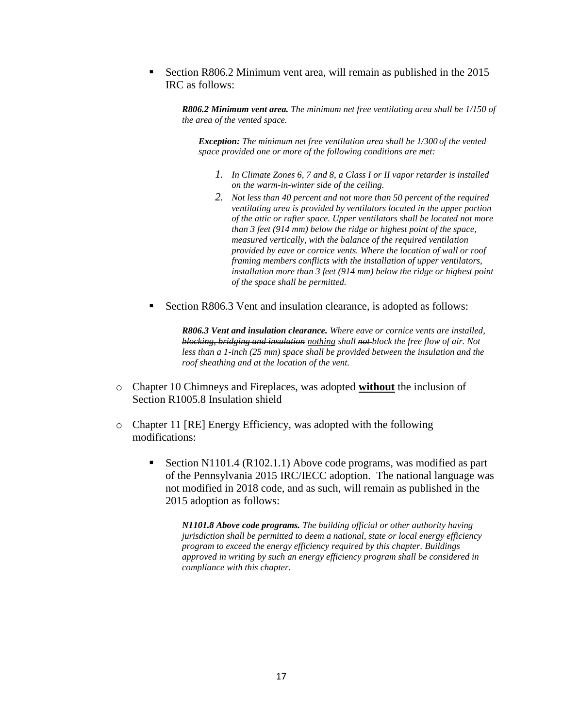Section R806.2 Minimum vent area, will remain as published in the 2015 IRC as follows:

*R806.2 Minimum vent area. The minimum net free ventilating area shall be 1/150 of the area of the vented space.*

*Exception: The minimum net free ventilation area shall be 1/300 of the vented space provided one or more of the following conditions are met:*

- *1. In Climate Zones 6, 7 and 8, a Class I or II vapor retarder is installed on the warm-in-winter side of the ceiling.*
- *2. Not less than 40 percent and not more than 50 percent of the required ventilating area is provided by ventilators located in the upper portion of the attic or rafter space. Upper ventilators shall be located not more than 3 feet (914 mm) below the ridge or highest point of the space, measured vertically, with the balance of the required ventilation provided by eave or cornice vents. Where the location of wall or roof framing members conflicts with the installation of upper ventilators, installation more than 3 feet (914 mm) below the ridge or highest point of the space shall be permitted.*
- Section R806.3 Vent and insulation clearance, is adopted as follows:

*R806.3 Vent and insulation clearance. Where eave or cornice vents are installed, blocking, bridging and insulation nothing shall not block the free flow of air. Not less than a 1-inch (25 mm) space shall be provided between the insulation and the roof sheathing and at the location of the vent.*

- o Chapter 10 Chimneys and Fireplaces, was adopted **without** the inclusion of Section R1005.8 Insulation shield
- o Chapter 11 [RE] Energy Efficiency, was adopted with the following modifications:
	- Section N1101.4 (R102.1.1) Above code programs, was modified as part of the Pennsylvania 2015 IRC/IECC adoption. The national language was not modified in 2018 code, and as such, will remain as published in the 2015 adoption as follows:

*N1101.8 Above code programs. The building official or other authority having jurisdiction shall be permitted to deem a national, state or local energy efficiency program to exceed the energy efficiency required by this chapter. Buildings approved in writing by such an energy efficiency program shall be considered in compliance with this chapter.*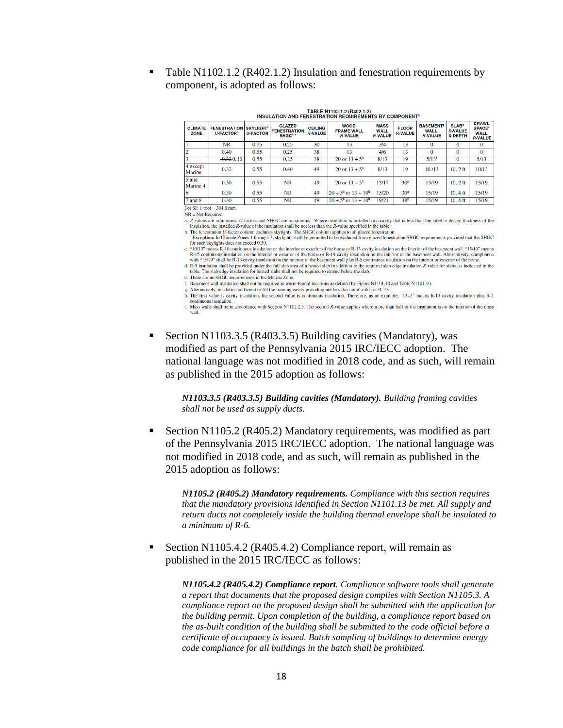Table N1102.1.2 (R402.1.2) Insulation and fenestration requirements by component, is adopted as follows:

| <b>CLIMATE</b><br><b>ZONE</b> | <b>FENESTRATION</b><br><b>II-FACTOR</b> | <b>SKYLIGHT<sup>b</sup></b><br><b>U-FACTOR</b> | <b>GLAZED</b><br><b>FENESTRATION</b><br>SHGC <sup>b, e</sup> | <b>CEILING</b><br><b>R-VALUE</b> | <b>WOOD</b><br><b>FRAME WALL</b><br><b>R-VALUE</b> | <b>MASS</b><br><b>WALL</b><br><b>R-VALUE</b> | <b>FLOOR</b><br><b>R-VALUE</b> | <b>BASEMENT<sup>®</sup></b><br><b>WALL</b><br><b>R-VALUE</b> | SLAB <sup>d</sup><br><b>R-VALUE</b><br>& DEPTH | <b>CRAWL</b><br><b>SPACE<sup>®</sup></b><br><b>WALL</b><br><b>R-VALUE</b> |
|-------------------------------|-----------------------------------------|------------------------------------------------|--------------------------------------------------------------|----------------------------------|----------------------------------------------------|----------------------------------------------|--------------------------------|--------------------------------------------------------------|------------------------------------------------|---------------------------------------------------------------------------|
|                               | <b>NR</b>                               | 0.75                                           | 0.25                                                         | 30                               | 13                                                 | 3/4                                          | 13                             | $\Omega$                                                     | $\Omega$                                       | $\Omega$                                                                  |
|                               | 0.40                                    | 0.65                                           | 0.25                                                         | 38                               | 13                                                 | 4/6                                          | 13                             | $\Omega$                                                     | $\Omega$                                       | $\Omega$                                                                  |
|                               | $-0.32035$                              | 0.55                                           | 0.25                                                         | 38                               | 20 or $13 + 5^h$                                   | 8/13                                         | 19                             | $5/13^{f}$                                                   | $\bf{0}$                                       | 5/13                                                                      |
| 4 except<br>Marine            | 0.32                                    | 0.55                                           | 0.40                                                         | 49                               | 20 or $13 + 5^h$                                   | 8/13                                         | 19                             | 10/13                                                        | $10.2$ ft                                      | 10/13                                                                     |
| $5$ and<br>Marine 4           | 0.30                                    | 0.55                                           | <b>NR</b>                                                    | 49                               | 20 or $13 + 5^h$                                   | 13/17                                        | 30 <sup>8</sup>                | 15/19                                                        | $10.2$ ft                                      | 15/19                                                                     |
| 16                            | 0.30                                    | 0.55                                           | <b>NR</b>                                                    | 49                               | $20 + 5^{\rm h}$ or $13 + 10^{\rm h}$              | 15/20                                        | 30 <sup>s</sup>                | 15/19                                                        | $10, 4 \text{ ft}$                             | 15/19                                                                     |
| $7$ and $8$                   | 0.30                                    | 0.55                                           | <b>NR</b>                                                    | 49                               | $20 + 5^{\rm h}$ or $13 + 10^{\rm h}$              | 19/21                                        | 38 <sup>8</sup>                | 15/19                                                        | $10.4$ ft                                      | 15/19                                                                     |

| TABLE N1102.1.2 (R402.1.2)                        |  |
|---------------------------------------------------|--|
| LATION AND FENESTRATION REQUIREMENTS BY COMPONENT |  |
|                                                   |  |

 $NR = Not Required.$ 

a. R-values are minimums. U-factors and SHGC are maximums. Where insulation is installed in a cavity that is less than the label or design thickness of the insulation, the installed R-value of the insulation, the installed

b. The fenestration U-factor column excludes skylights. The SHGC column applies to all glazed fenestration

**INSUI** 

The customeral conduction of the SHGC<br>Exception: In Climate Zones 1 through 3, skylights shall be permitted to be excluded from glazed fenestration SHGC requirements provided that the SHGC<br>for such skylights does not excee c. "10/13" means R-10 continuous insulation on the interior or exterior of the home or R-13 cavity insulation on the interior of the basement wall. "15/19" means R-15 continuous insulation on the interior or exterior of the home or R-19 cavity insulation on the interior of the basement wall. Alternatively, compliance with "15/19" shall be R-13 cavity insulation on the interior or t

d. R-5 insulation shall be provided under the full slab area of a heated slab in addition to the required slab edge insulation R-value for slabs, as indicated in the table. The slab edge insulation for heated slabs shall not be required to extend below the slab

e. There are no SHGC requirements in the Marine Zone.

f. Basement wall insulation shall not be required in warm-humid locations as defined by Figure N1101.10 and Table N1101.10.<br>g. Alternatively, insulation sufficient to fill the framing cavity providing not less than an R-va

h. The first value is cavity insulation, the second value is continuous insulation. Therefore, as an example, "13+5" means R-13 cavity insulation plus R-5 continuous insulation.<br>i. Mass walls shall be in accordance with Section N1102.2.5. The second R-value applies where more than half of the insulation is on the interior of the mass

wall.

 Section N1103.3.5 (R403.3.5) Building cavities (Mandatory), was modified as part of the Pennsylvania 2015 IRC/IECC adoption. The national language was not modified in 2018 code, and as such, will remain as published in the 2015 adoption as follows:

*N1103.3.5 (R403.3.5) Building cavities (Mandatory). Building framing cavities shall not be used as supply ducts.*

 Section N1105.2 (R405.2) Mandatory requirements, was modified as part of the Pennsylvania 2015 IRC/IECC adoption. The national language was not modified in 2018 code, and as such, will remain as published in the 2015 adoption as follows:

*N1105.2 (R405.2) Mandatory requirements. Compliance with this section requires that the mandatory provisions identified in Section N1101.13 be met. All supply and return ducts not completely inside the building thermal envelope shall be insulated to a minimum of R-6.*

 Section N1105.4.2 (R405.4.2) Compliance report, will remain as published in the 2015 IRC/IECC as follows:

> *N1105.4.2 (R405.4.2) Compliance report. Compliance software tools shall generate a report that documents that the proposed design complies with Section N1105.3. A compliance report on the proposed design shall be submitted with the application for the building permit. Upon completion of the building, a compliance report based on the as-built condition of the building shall be submitted to the code official before a certificate of occupancy is issued. Batch sampling of buildings to determine energy code compliance for all buildings in the batch shall be prohibited.*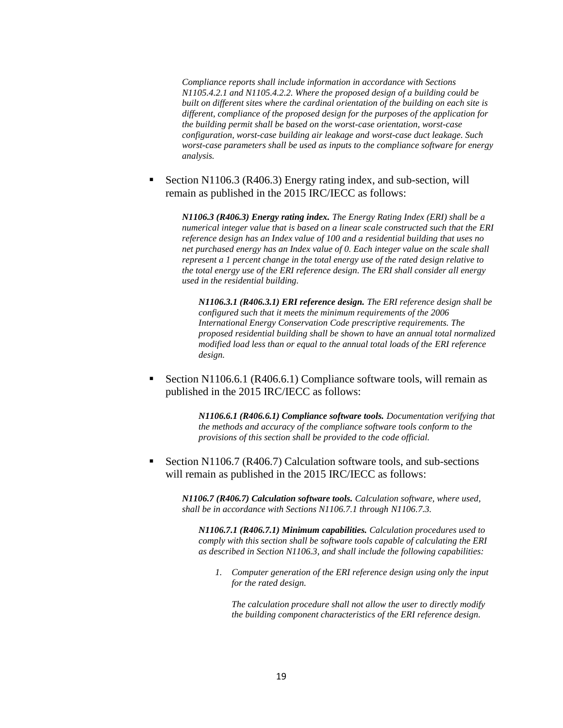*Compliance reports shall include information in accordance with Sections N1105.4.2.1 and N1105.4.2.2. Where the proposed design of a building could be built on different sites where the cardinal orientation of the building on each site is different, compliance of the proposed design for the purposes of the application for the building permit shall be based on the worst-case orientation, worst-case configuration, worst-case building air leakage and worst-case duct leakage. Such worst-case parameters shall be used as inputs to the compliance software for energy analysis.*

 Section N1106.3 (R406.3) Energy rating index, and sub-section, will remain as published in the 2015 IRC/IECC as follows:

*N1106.3 (R406.3) Energy rating index. The Energy Rating Index (ERI) shall be a numerical integer value that is based on a linear scale constructed such that the ERI reference design has an Index value of 100 and a residential building that uses no net purchased energy has an Index value of 0. Each integer value on the scale shall represent a 1 percent change in the total energy use of the rated design relative to the total energy use of the ERI reference design. The ERI shall consider all energy used in the residential building.*

*N1106.3.1 (R406.3.1) ERI reference design. The ERI reference design shall be configured such that it meets the minimum requirements of the 2006 International Energy Conservation Code prescriptive requirements. The proposed residential building shall be shown to have an annual total normalized modified load less than or equal to the annual total loads of the ERI reference design.*

 Section N1106.6.1 (R406.6.1) Compliance software tools, will remain as published in the 2015 IRC/IECC as follows:

> *N1106.6.1 (R406.6.1) Compliance software tools. Documentation verifying that the methods and accuracy of the compliance software tools conform to the provisions of this section shall be provided to the code official.*

 Section N1106.7 (R406.7) Calculation software tools, and sub-sections will remain as published in the 2015 IRC/IECC as follows:

*N1106.7 (R406.7) Calculation software tools. Calculation software, where used, shall be in accordance with Sections N1106.7.1 through N1106.7.3.*

*N1106.7.1 (R406.7.1) Minimum capabilities. Calculation procedures used to comply with this section shall be software tools capable of calculating the ERI as described in Section N1106.3, and shall include the following capabilities:*

*1. Computer generation of the ERI reference design using only the input for the rated design.*

*The calculation procedure shall not allow the user to directly modify the building component characteristics of the ERI reference design.*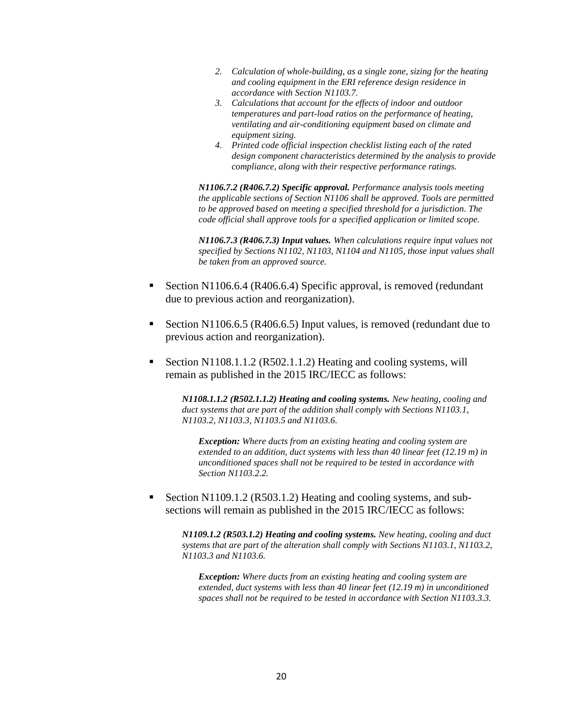- *2. Calculation of whole-building, as a single zone, sizing for the heating and cooling equipment in the ERI reference design residence in accordance with Section N1103.7.*
- *3. Calculations that account for the effects of indoor and outdoor temperatures and part-load ratios on the performance of heating, ventilating and air-conditioning equipment based on climate and equipment sizing.*
- *4. Printed code official inspection checklist listing each of the rated design component characteristics determined by the analysis to provide compliance, along with their respective performance ratings.*

*N1106.7.2 (R406.7.2) Specific approval. Performance analysis tools meeting the applicable sections of Section N1106 shall be approved. Tools are permitted to be approved based on meeting a specified threshold for a jurisdiction. The code official shall approve tools for a specified application or limited scope.*

*N1106.7.3 (R406.7.3) Input values. When calculations require input values not specified by Sections N1102, N1103, N1104 and N1105, those input values shall be taken from an approved source.*

- Section N1106.6.4 (R406.6.4) Specific approval, is removed (redundant due to previous action and reorganization).
- Section N1106.6.5 (R406.6.5) Input values, is removed (redundant due to previous action and reorganization).
- Section N1108.1.1.2 (R502.1.1.2) Heating and cooling systems, will remain as published in the 2015 IRC/IECC as follows:

*N1108.1.1.2 (R502.1.1.2) Heating and cooling systems. New heating, cooling and duct systems that are part of the addition shall comply with Sections N1103.1, N1103.2, N1103.3, N1103.5 and N1103.6.*

*Exception: Where ducts from an existing heating and cooling system are extended to an addition, duct systems with less than 40 linear feet (12.19 m) in unconditioned spaces shall not be required to be tested in accordance with Section N1103.2.2.*

 Section N1109.1.2 (R503.1.2) Heating and cooling systems, and subsections will remain as published in the 2015 IRC/IECC as follows:

*N1109.1.2 (R503.1.2) Heating and cooling systems. New heating, cooling and duct systems that are part of the alteration shall comply with Sections N1103.1, N1103.2, N1103.3 and N1103.6.*

*Exception: Where ducts from an existing heating and cooling system are extended, duct systems with less than 40 linear feet (12.19 m) in unconditioned spaces shall not be required to be tested in accordance with Section N1103.3.3.*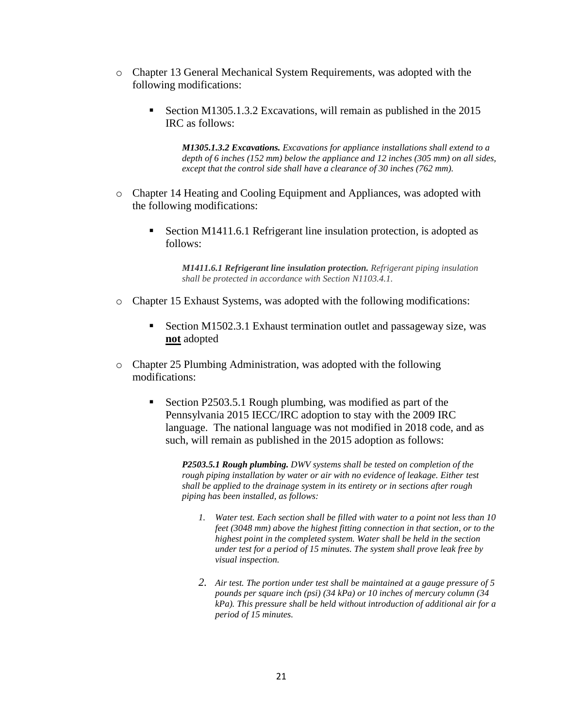- o Chapter 13 General Mechanical System Requirements, was adopted with the following modifications:
	- Section M1305.1.3.2 Excavations, will remain as published in the 2015 IRC as follows:

*M1305.1.3.2 Excavations. Excavations for appliance installations shall extend to a depth of 6 inches (152 mm) below the appliance and 12 inches (305 mm) on all sides, except that the control side shall have a clearance of 30 inches (762 mm).*

- o Chapter 14 Heating and Cooling Equipment and Appliances, was adopted with the following modifications:
	- Section M1411.6.1 Refrigerant line insulation protection, is adopted as follows:

*M1411.6.1 Refrigerant line insulation protection. Refrigerant piping insulation shall be protected in accordance with Section N1103.4.1.*

- o Chapter 15 Exhaust Systems, was adopted with the following modifications:
	- Section M1502.3.1 Exhaust termination outlet and passageway size, was **not** adopted
- o Chapter 25 Plumbing Administration, was adopted with the following modifications:
	- Section P2503.5.1 Rough plumbing, was modified as part of the Pennsylvania 2015 IECC/IRC adoption to stay with the 2009 IRC language. The national language was not modified in 2018 code, and as such, will remain as published in the 2015 adoption as follows:

*P2503.5.1 Rough plumbing. DWV systems shall be tested on completion of the*  rough piping installation by water or air with no evidence of leakage. Either test *shall be applied to the drainage system in its entirety or in sections after rough piping has been installed, as follows:*

- *1. Water test. Each section shall be filled with water to a point not less than 10 feet (3048 mm) above the highest fitting connection in that section, or to the highest point in the completed system. Water shall be held in the section under test for a period of 15 minutes. The system shall prove leak free by visual inspection.*
- *2. Air test. The portion under test shall be maintained at a gauge pressure of 5 pounds per square inch (psi) (34 kPa) or 10 inches of mercury column (34 kPa). This pressure shall be held without introduction of additional air for a period of 15 minutes.*